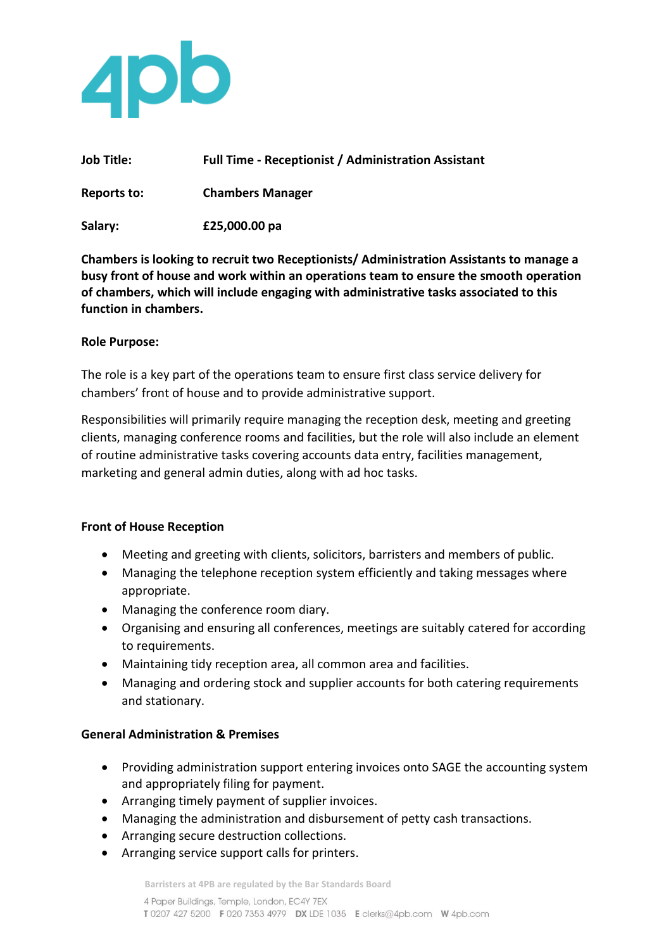

| <b>Job Title:</b> | <b>Full Time - Receptionist / Administration Assistant</b> |
|-------------------|------------------------------------------------------------|
| Reports to:       | <b>Chambers Manager</b>                                    |
| Salary:           | £25,000.00 pa                                              |

**Chambers is looking to recruit two Receptionists/ Administration Assistants to manage a busy front of house and work within an operations team to ensure the smooth operation of chambers, which will include engaging with administrative tasks associated to this function in chambers.**

# **Role Purpose:**

The role is a key part of the operations team to ensure first class service delivery for chambers' front of house and to provide administrative support.

Responsibilities will primarily require managing the reception desk, meeting and greeting clients, managing conference rooms and facilities, but the role will also include an element of routine administrative tasks covering accounts data entry, facilities management, marketing and general admin duties, along with ad hoc tasks.

# **Front of House Reception**

- Meeting and greeting with clients, solicitors, barristers and members of public.
- Managing the telephone reception system efficiently and taking messages where appropriate.
- Managing the conference room diary.
- Organising and ensuring all conferences, meetings are suitably catered for according to requirements.
- Maintaining tidy reception area, all common area and facilities.
- Managing and ordering stock and supplier accounts for both catering requirements and stationary.

# **General Administration & Premises**

- Providing administration support entering invoices onto SAGE the accounting system and appropriately filing for payment.
- Arranging timely payment of supplier invoices.
- Managing the administration and disbursement of petty cash transactions.
- Arranging secure destruction collections.
- Arranging service support calls for printers.